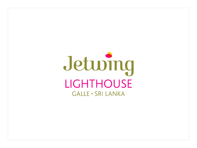# Jeturing LIGHTHOUSE **GALLE · SRI LANKA**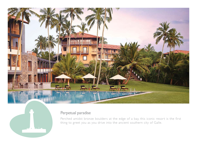



# Perpetual paradise

Perched amidst bronze boulders at the edge of a bay, this iconic resort is the first thing to greet you as you drive into the ancient southern city of Galle.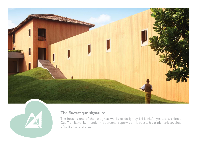



## The Bawaesque signature

The hotel is one of the last great works of design by Sri Lanka's greatest architect, Geoffrey Bawa. Built under his personal supervision, it boasts his trademark touches of saffron and bronze.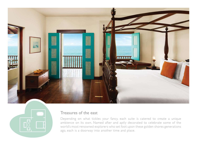



### Treasures of the east

Depending on what tickles your fancy, each suite is catered to create a unique ambience on its own. Named after and aptly decorated to celebrate some of the world's most renowned explorers who set foot upon these golden shores generations ago, each is a doorway into another time and place.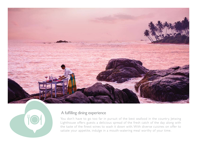



#### A fulfilling dining experience

You don't have to go too far in pursuit of the best seafood in the country. Jetwing Lighthouse offers guests a delicious spread of the fresh catch of the day along with the taste of the finest wines to wash it down with. With diverse cuisines on offer to satiate your appetite, indulge in a mouth-watering meal worthy of your time.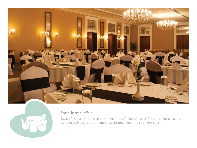



# For a formal affair

State of the art facilities and the most tasteful décor makes for our conference and banquet facilities to be the most celebrated along the southern coast.